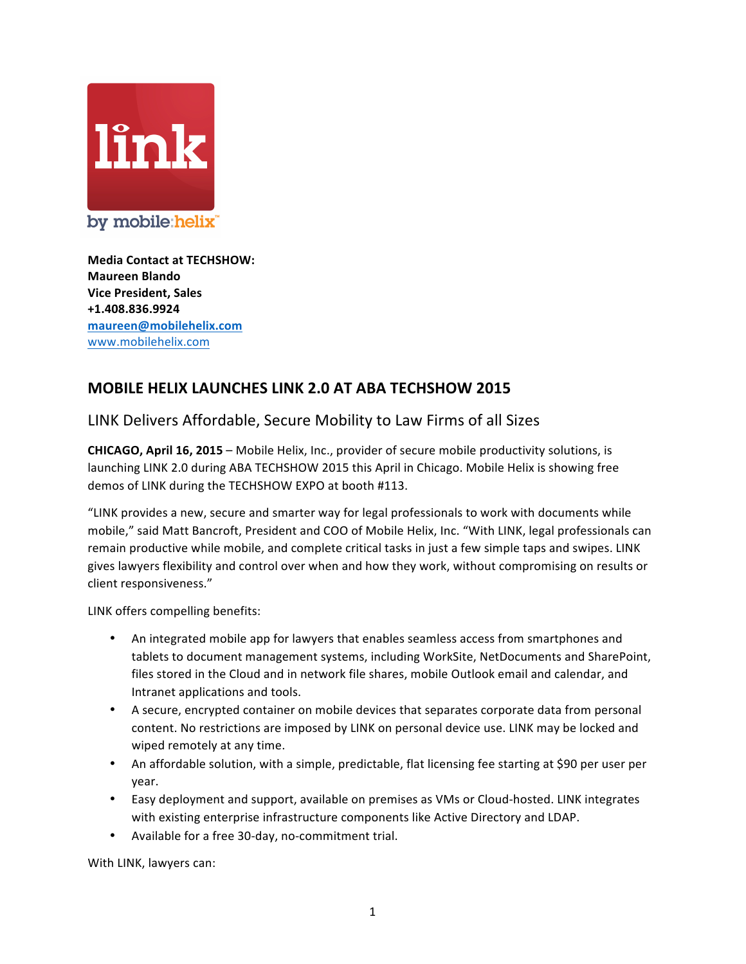

**Media Contact at TECHSHOW: Maureen Blando Vice President, Sales +1.408.836.9924 maureen@mobilehelix.com** www.mobilehelix.com

## **MOBILE HELIX LAUNCHES LINK 2.0 AT ABA TECHSHOW 2015**

## LINK Delivers Affordable, Secure Mobility to Law Firms of all Sizes

**CHICAGO, April 16, 2015** – Mobile Helix, Inc., provider of secure mobile productivity solutions, is launching LINK 2.0 during ABA TECHSHOW 2015 this April in Chicago. Mobile Helix is showing free demos of LINK during the TECHSHOW EXPO at booth #113.

"LINK provides a new, secure and smarter way for legal professionals to work with documents while mobile," said Matt Bancroft, President and COO of Mobile Helix, Inc. "With LINK, legal professionals can remain productive while mobile, and complete critical tasks in just a few simple taps and swipes. LINK gives lawyers flexibility and control over when and how they work, without compromising on results or client responsiveness."

LINK offers compelling benefits:

- An integrated mobile app for lawyers that enables seamless access from smartphones and tablets to document management systems, including WorkSite, NetDocuments and SharePoint, files stored in the Cloud and in network file shares, mobile Outlook email and calendar, and Intranet applications and tools.
- A secure, encrypted container on mobile devices that separates corporate data from personal content. No restrictions are imposed by LINK on personal device use. LINK may be locked and wiped remotely at any time.
- An affordable solution, with a simple, predictable, flat licensing fee starting at \$90 per user per year.
- Easy deployment and support, available on premises as VMs or Cloud-hosted. LINK integrates with existing enterprise infrastructure components like Active Directory and LDAP.
- Available for a free 30-day, no-commitment trial.

With LINK, lawyers can: